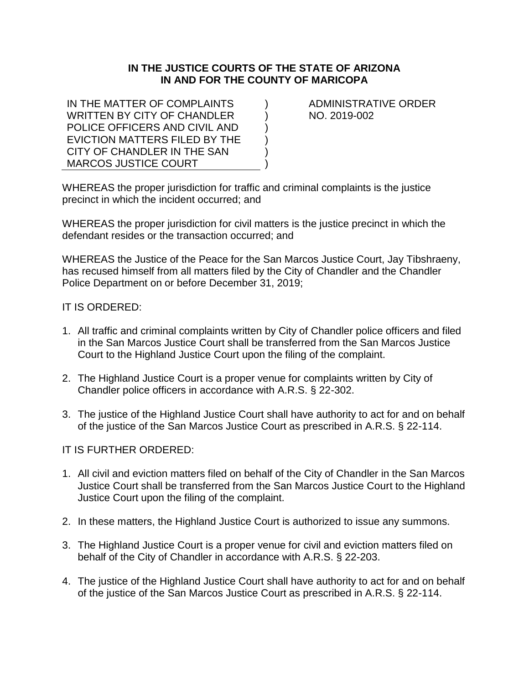## **IN THE JUSTICE COURTS OF THE STATE OF ARIZONA IN AND FOR THE COUNTY OF MARICOPA**

 $\lambda$  $\lambda$ )  $\lambda$ ) )

IN THE MATTER OF COMPLAINTS WRITTEN BY CITY OF CHANDLER POLICE OFFICERS AND CIVIL AND EVICTION MATTERS FILED BY THE CITY OF CHANDLER IN THE SAN MARCOS JUSTICE COURT

ADMINISTRATIVE ORDER NO. 2019-002

WHEREAS the proper jurisdiction for traffic and criminal complaints is the justice precinct in which the incident occurred; and

WHEREAS the proper jurisdiction for civil matters is the justice precinct in which the defendant resides or the transaction occurred; and

WHEREAS the Justice of the Peace for the San Marcos Justice Court, Jay Tibshraeny, has recused himself from all matters filed by the City of Chandler and the Chandler Police Department on or before December 31, 2019;

## IT IS ORDERED:

- 1. All traffic and criminal complaints written by City of Chandler police officers and filed in the San Marcos Justice Court shall be transferred from the San Marcos Justice Court to the Highland Justice Court upon the filing of the complaint.
- 2. The Highland Justice Court is a proper venue for complaints written by City of Chandler police officers in accordance with A.R.S. § 22-302.
- 3. The justice of the Highland Justice Court shall have authority to act for and on behalf of the justice of the San Marcos Justice Court as prescribed in A.R.S. § 22-114.

## IT IS FURTHER ORDERED:

- 1. All civil and eviction matters filed on behalf of the City of Chandler in the San Marcos Justice Court shall be transferred from the San Marcos Justice Court to the Highland Justice Court upon the filing of the complaint.
- 2. In these matters, the Highland Justice Court is authorized to issue any summons.
- 3. The Highland Justice Court is a proper venue for civil and eviction matters filed on behalf of the City of Chandler in accordance with A.R.S. § 22-203.
- 4. The justice of the Highland Justice Court shall have authority to act for and on behalf of the justice of the San Marcos Justice Court as prescribed in A.R.S. § 22-114.